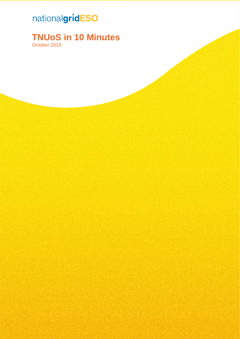# nationalgridESO

#### **TNUoS in 10 Minutes**

October 2018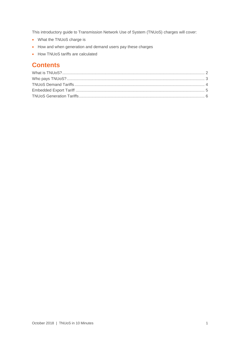This introductory guide to Transmission Network Use of System (TNUoS) charges will cover:

- What the TNUoS charge is
- How and when generation and demand users pay these charges
- How TNUoS tariffs are calculated

#### **Contents**

<span id="page-1-0"></span>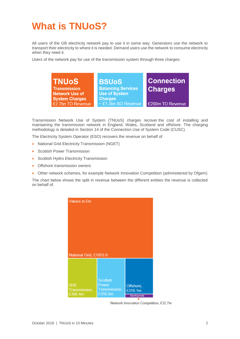### **What is TNUoS?**

All users of the GB electricity network pay to use it in some way. Generators use the network to transport their electricity to where it is needed. Demand users use the network to consume electricity when they need it.

Users of the network pay for use of the transmission system through three charges:



Transmission Network Use of System (TNUoS) charges recover the cost of installing and maintaining the transmission network in England, Wales, Scotland and offshore. The charging methodology is detailed in Section 14 of the Connection Use of System Code (CUSC).

The Electricity System Operator (ESO) recovers the revenue on behalf of

- National Grid Electricity Transmission (NGET)
- Scottish Power Transmission
- Scottish Hydro Electricity Transmission
- Offshore transmission owners
- Other network schemes, for example Network Innovation Competition (administered by Ofgem)

The chart below shows the split in revenue between the different entities the revenue is collected on behalf of.



Network Innovation Competition, £32.7m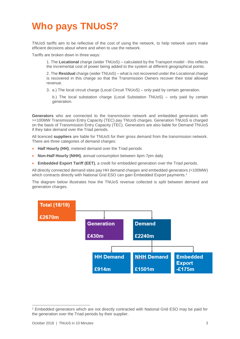# <span id="page-3-0"></span>**Who pays TNUoS?**

TNUoS tariffs aim to be reflective of the cost of using the network, to help network users make efficient decisions about where and when to use the network.

Tariffs are broken down in three ways:

1. The **Locational** charge (wider TNUoS) – calculated by the Transport model - this reflects the incremental cost of power being added to the system at different geographical points.

2. The **Residual** charge (wider TNUoS) – what is not recovered under the Locational charge is recovered in this charge so that the Transmission Owners recover their total allowed revenue.

3. a.) The local circuit charge (Local Circuit TNUoS) – only paid by certain generation.

b.) The local substation charge (Local Substation TNUoS) – only paid by certain generation.

**Generators** who are connected to the transmission network and embedded generators with >=100MW Transmission Entry Capacity (TEC) pay TNUoS charges. Generation TNUoS is charged on the basis of Transmission Entry Capacity (TEC). Generators are also liable for Demand TNUoS if they take demand over the Triad periods.

All licenced **suppliers** are liable for TNUoS for their gross demand from the transmission network. There are three categories of demand charges:

- **Half Hourly (HH)**, metered demand over the Triad periods
- **Non-Half Hourly (NHH)**, annual consumption between 4pm-7pm daily
- **Embedded Export Tariff (EET)**, a credit for embedded generation over the Triad periods.

All directly connected demand sites pay HH demand charges and embedded generators (<100MW) which contracts directly with National Grid ESO can gain Embedded Export payments.<sup>1</sup>

The diagram below illustrates how the TNUoS revenue collected is split between demand and generation charges.



<span id="page-3-1"></span> $\overline{a}$ 

<sup>1</sup> Embedded generators which are not directly contracted with National Grid ESO may be paid for the generation over the Triad periods by their supplier.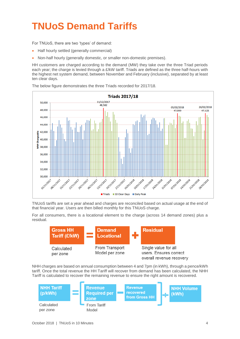# **TNUoS Demand Tariffs**

For TNUoS, there are two 'types' of demand:

- Half hourly settled (generally commercial)
- Non-half hourly (generally domestic, or smaller non-domestic premises).

HH customers are charged according to the demand (MW) they take over the three Triad periods each year; the charge is levied through a £/kW tariff. Triads are defined as the three half-hours with the highest net system demand, between November and February (inclusive), separated by at least ten clear days.



The below figure demonstrates the three Triads recorded for 2017/18.

TNUoS tariffs are set a year ahead and charges are reconciled based on actual usage at the end of that financial year. Users are then billed monthly for this TNUoS charge.

For all consumers, there is a locational element to the charge (across 14 demand zones) plus a residual.



NHH charges are based on annual consumption between 4 and 7pm (in kWh), through a pence/kWh tariff. Once the total revenue the HH Tariff will recover from demand has been calculated, the NHH Tariff is calculated to recover the remaining revenue to ensure the right amount is recovered.

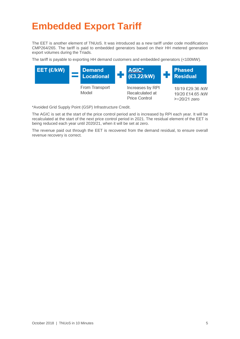#### <span id="page-5-0"></span>**Embedded Export Tariff**

The EET is another element of TNUoS. It was introduced as a new tariff under code modifications CMP264/265. The tariff is paid to embedded generators based on their HH metered generation export volumes during the Triads.

The tariff is payable to exporting HH demand customers and embedded generators (<100MW).



\*Avoided Grid Supply Point (GSP) Infrastructure Credit.

The AGIC is set at the start of the price control period and is increased by RPI each year. It will be recalculated at the start of the next price control period in 2021. The residual element of the EET is being reduced each year until 2020/21, when it will be set at zero.

The revenue paid out through the EET is recovered from the demand residual, to ensure overall revenue recovery is correct.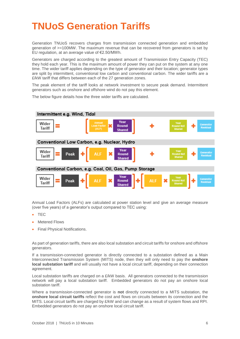#### <span id="page-6-0"></span>**TNUoS Generation Tariffs**

Generation TNUoS recovers charges from transmission connected generation and embedded generation of >=100MW. The maximum revenue that can be recovered from generators is set by EU regulation, at an average value of €2.50/MWh.

Generators are charged according to the greatest amount of Transmission Entry Capacity (TEC) they hold each year. This is the maximum amount of power they can put on the system at any one time. The wider tariff applies depending on the type of generator and their location; generator types are split by intermittent, conventional low carbon and conventional carbon. The wider tariffs are a £/kW tariff that differs between each of the 27 generation zones.

The peak element of the tariff looks at network investment to secure peak demand. Intermittent generators such as onshore and offshore wind do not pay this element.

The below figure details how the three wider tariffs are calculated.



Annual Load Factors (ALFs) are calculated at power station level and give an average measure (over five years) of a generator's output compared to TEC using:

- TEC
- **Metered Flows**
- Final Physical Notifications.

As part of generation tariffs, there are also local substation and circuit tariffs for onshore and offshore generators.

If a transmission-connected generator is directly connected to a substation defined as a Main Interconnected Transmission System (MITS) node, then they will only need to pay the **onshore local substation tariff** and will usually not have a local circuit tariff, depending on their connection agreement.

Local substation tariffs are charged on a £/kW basis. All generators connected to the transmission network will pay a local substation tariff. Embedded generators do not pay an onshore local substation tariff

Where a transmission-connected generator is **not** directly connected to a MITS substation, the **onshore local circuit tariffs** reflect the cost and flows on circuits between its connection and the MITS. Local circuit tariffs are charged by  $E/kW$  and can change as a result of system flows and RPI. Embedded generators do not pay an onshore local circuit tariff.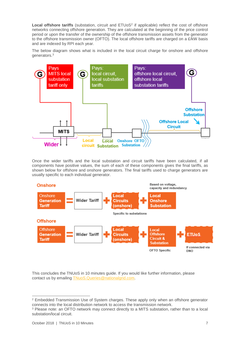**Local offshore tariffs** (substation, circuit and ETUoS<sup>2</sup> if applicable) reflect the cost of offshore networks connecting offshore generation. They are calculated at the beginning of the price control period or upon the transfer of the ownership of the offshore transmission assets from the generator to the offshore transmission owner (OFTO). The local offshore tariffs are charged on a £/kW basis and are indexed by RPI each year.

The below diagram shows what is included in the local circuit charge for onshore and offshore generators.<sup>3</sup>



Once the wider tariffs and the local substation and circuit tariffs have been calculated, if all components have positive values, the sum of each of these components gives the final tariffs, as shown below for offshore and onshore generators. The final tariffs used to charge generators are usually specific to each individual generator.



This concludes the TNUoS in 10 minutes guide. If you would like further information, please contact us by emailing [TNuoS.Queries@nationalgrid.com.](mailto:TNuoS.Queries@nationalgrid.com)

<sup>-</sup><sup>2</sup> Embedded Transmission Use of System charges. These apply only when an offshore generator connects into the local distribution network to access the transmission network.

<sup>3</sup> Please note: an OFTO network may connect directly to a MITS substation, rather than to a local substation/local circuit.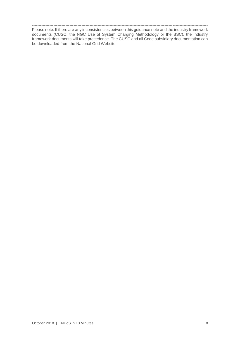----------------------------------------------------------------------------------------------------------------------------------- Please note: If there are any inconsistencies between this guidance note and the industry framework documents (CUSC, the NGC Use of System Charging Methodology or the BSC), the industry framework documents will take precedence. The CUSC and all Code subsidiary documentation can be downloaded from the National Grid Website.